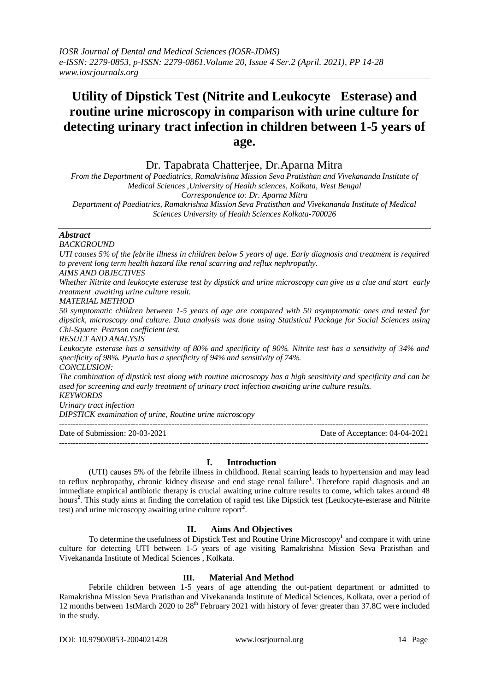# **Utility of Dipstick Test (Nitrite and Leukocyte Esterase) and routine urine microscopy in comparison with urine culture for detecting urinary tract infection in children between 1-5 years of age.**

Dr. Tapabrata Chatterjee, Dr.Aparna Mitra

*From the Department of Paediatrics, Ramakrishna Mission Seva Pratisthan and Vivekananda Institute of Medical Sciences ,University of Health sciences, Kolkata, West Bengal Correspondence to: Dr. Aparna Mitra Department of Paediatrics, Ramakrishna Mission Seva Pratisthan and Vivekananda Institute of Medical* 

*Sciences University of Health Sciences Kolkata-700026*

## *Abstract*

*BACKGROUND*

*UTI causes 5% of the febrile illness in children below 5 years of age. Early diagnosis and treatment is required to prevent long term health hazard like renal scarring and reflux nephropathy.* 

### *AIMS AND OBJECTIVES*

*Whether Nitrite and leukocyte esterase test by dipstick and urine microscopy can give us a clue and start early treatment awaiting urine culture result.*

#### *MATERIAL METHOD*

*50 symptomatic children between 1-5 years of age are compared with 50 asymptomatic ones and tested for dipstick, microscopy and culture. Data analysis was done using Statistical Package for Social Sciences using Chi-Square Pearson coefficient test.* 

*RESULT AND ANALYSIS*

*Leukocyte esterase has a sensitivity of 80% and specificity of 90%. Nitrite test has a sensitivity of 34% and specificity of 98%. Pyuria has a specificity of 94% and sensitivity of 74%. CONCLUSION:*

*The combination of dipstick test along with routine microscopy has a high sensitivity and specificity and can be used for screening and early treatment of urinary tract infection awaiting urine culture results. KEYWORDS*

## *Urinary tract infection*

*DIPSTICK examination of urine, Routine urine microscopy*

--------------------------------------------------------------------------------------------------------------------------------------- Date of Submission: 20-03-2021 Date of Acceptance: 04-04-2021

## **I. Introduction**

---------------------------------------------------------------------------------------------------------------------------------------

(UTI) causes 5% of the febrile illness in childhood. Renal scarring leads to hypertension and may lead to reflux nephropathy, chronic kidney disease and end stage renal failure**<sup>1</sup>** . Therefore rapid diagnosis and an immediate empirical antibiotic therapy is crucial awaiting urine culture results to come, which takes around 48 hours**<sup>2</sup>** . This study aims at finding the correlation of rapid test like Dipstick test (Leukocyte-esterase and Nitrite test) and urine microscopy awaiting urine culture report**<sup>2</sup>** .

## **II. Aims And Objectives**

To determine the usefulness of Dipstick Test and Routine Urine Microscopy**<sup>1</sup>** and compare it with urine culture for detecting UTI between 1-5 years of age visiting Ramakrishna Mission Seva Pratisthan and Vivekananda Institute of Medical Sciences , Kolkata.

#### **III. Material And Method**

Febrile children between 1-5 years of age attending the out-patient department or admitted to Ramakrishna Mission Seva Pratisthan and Vivekananda Institute of Medical Sciences, Kolkata, over a period of 12 months between 1stMarch 2020 to 28<sup>th</sup> February 2021 with history of fever greater than 37.8C were included in the study.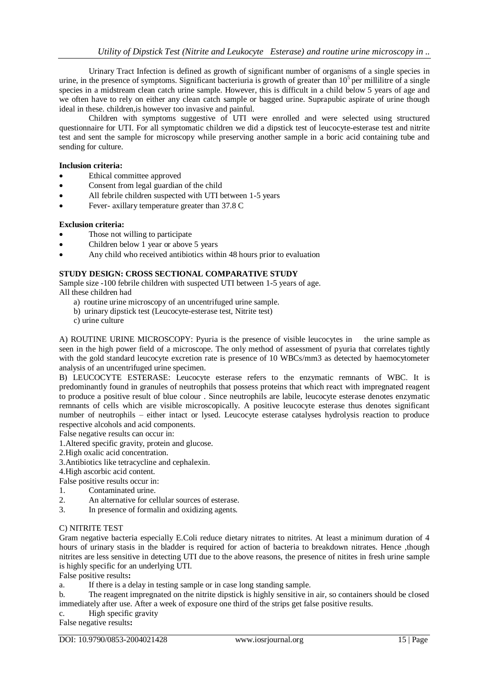Urinary Tract Infection is defined as growth of significant number of organisms of a single species in urine, in the presence of symptoms. Significant bacteriuria is growth of greater than  $10<sup>5</sup>$  per millilitre of a single species in a midstream clean catch urine sample. However, this is difficult in a child below 5 years of age and we often have to rely on either any clean catch sample or bagged urine. Suprapubic aspirate of urine though ideal in these. children,is however too invasive and painful.

Children with symptoms suggestive of UTI were enrolled and were selected using structured questionnaire for UTI. For all symptomatic children we did a dipstick test of leucocyte-esterase test and nitrite test and sent the sample for microscopy while preserving another sample in a boric acid containing tube and sending for culture.

#### **Inclusion criteria:**

- Ethical committee approved
- Consent from legal guardian of the child
- All febrile children suspected with UTI between 1-5 years
- Fever- axillary temperature greater than 37.8 C

#### **Exclusion criteria:**

- Those not willing to participate
- Children below 1 year or above 5 years
- Any child who received antibiotics within 48 hours prior to evaluation

#### **STUDY DESIGN: CROSS SECTIONAL COMPARATIVE STUDY**

Sample size -100 febrile children with suspected UTI between 1-5 years of age. All these children had

- a) routine urine microscopy of an uncentrifuged urine sample.
- b) urinary dipstick test (Leucocyte-esterase test, Nitrite test)
- c) urine culture

A) ROUTINE URINE MICROSCOPY: Pyuria is the presence of visible leucocytes in the urine sample as seen in the high power field of a microscope. The only method of assessment of pyuria that correlates tightly with the gold standard leucocyte excretion rate is presence of 10 WBCs/mm3 as detected by haemocytometer analysis of an uncentrifuged urine specimen.

B) LEUCOCYTE ESTERASE: Leucocyte esterase refers to the enzymatic remnants of WBC. It is predominantly found in granules of neutrophils that possess proteins that which react with impregnated reagent to produce a positive result of blue colour . Since neutrophils are labile, leucocyte esterase denotes enzymatic remnants of cells which are visible microscopically. A positive leucocyte esterase thus denotes significant number of neutrophils – either intact or lysed. Leucocyte esterase catalyses hydrolysis reaction to produce respective alcohols and acid components.

False negative results can occur in:

1.Altered specific gravity, protein and glucose.

2.High oxalic acid concentration.

3.Antibiotics like tetracycline and cephalexin.

4.High ascorbic acid content.

False positive results occur in:

- 1. Contaminated urine.
- 2. An alternative for cellular sources of esterase.
- 3. In presence of formalin and oxidizing agents.

## C) NITRITE TEST

Gram negative bacteria especially E.Coli reduce dietary nitrates to nitrites. At least a minimum duration of 4 hours of urinary stasis in the bladder is required for action of bacteria to breakdown nitrates. Hence ,though nitrites are less sensitive in detecting UTI due to the above reasons, the presence of nitites in fresh urine sample is highly specific for an underlying UTI.

False positive results**:**

a. If there is a delay in testing sample or in case long standing sample.

b. The reagent impregnated on the nitrite dipstick is highly sensitive in air, so containers should be closed immediately after use. After a week of exposure one third of the strips get false positive results.

c. High specific gravity

False negative results**:**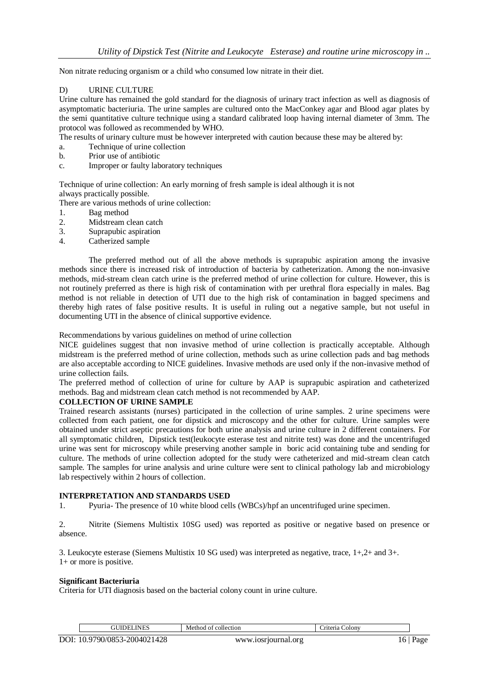Non nitrate reducing organism or a child who consumed low nitrate in their diet.

#### D) URINE CULTURE

Urine culture has remained the gold standard for the diagnosis of urinary tract infection as well as diagnosis of asymptomatic bacteriuria. The urine samples are cultured onto the MacConkey agar and Blood agar plates by the semi quantitative culture technique using a standard calibrated loop having internal diameter of 3mm. The protocol was followed as recommended by WHO.

The results of urinary culture must be however interpreted with caution because these may be altered by:

- a. Technique of urine collection
- b. Prior use of antibiotic
- c. Improper or faulty laboratory techniques

Technique of urine collection: An early morning of fresh sample is ideal although it is not always practically possible.

There are various methods of urine collection:

- 1. Bag method
- 2. Midstream clean catch
- 3. Suprapubic aspiration
- 4. Catherized sample

The preferred method out of all the above methods is suprapubic aspiration among the invasive methods since there is increased risk of introduction of bacteria by catheterization. Among the non-invasive methods, mid-stream clean catch urine is the preferred method of urine collection for culture. However, this is not routinely preferred as there is high risk of contamination with per urethral flora especially in males. Bag method is not reliable in detection of UTI due to the high risk of contamination in bagged specimens and thereby high rates of false positive results. It is useful in ruling out a negative sample, but not useful in documenting UTI in the absence of clinical supportive evidence.

Recommendations by various guidelines on method of urine collection

NICE guidelines suggest that non invasive method of urine collection is practically acceptable. Although midstream is the preferred method of urine collection, methods such as urine collection pads and bag methods are also acceptable according to NICE guidelines. Invasive methods are used only if the non-invasive method of urine collection fails.

The preferred method of collection of urine for culture by AAP is suprapubic aspiration and catheterized methods. Bag and midstream clean catch method is not recommended by AAP.

#### **COLLECTION OF URINE SAMPLE**

Trained research assistants (nurses) participated in the collection of urine samples. 2 urine specimens were collected from each patient, one for dipstick and microscopy and the other for culture. Urine samples were obtained under strict aseptic precautions for both urine analysis and urine culture in 2 different containers. For all symptomatic children, Dipstick test(leukocyte esterase test and nitrite test) was done and the uncentrifuged urine was sent for microscopy while preserving another sample in boric acid containing tube and sending for culture. The methods of urine collection adopted for the study were catheterized and mid-stream clean catch sample. The samples for urine analysis and urine culture were sent to clinical pathology lab and microbiology lab respectively within 2 hours of collection.

#### **INTERPRETATION AND STANDARDS USED**

1. Pyuria- The presence of 10 white blood cells (WBCs)/hpf an uncentrifuged urine specimen.

2. Nitrite (Siemens Multistix 10SG used) was reported as positive or negative based on presence or absence.

3. Leukocyte esterase (Siemens Multistix 10 SG used) was interpreted as negative, trace, 1+,2+ and 3+. 1+ or more is positive.

#### **Significant Bacteriuria**

Criteria for UTI diagnosis based on the bacterial colony count in urine culture.

|  | Me<br>чог<br>,,,,,<br>---------------- | - -<br>വ<br>''<br>- 121 |
|--|----------------------------------------|-------------------------|
|--|----------------------------------------|-------------------------|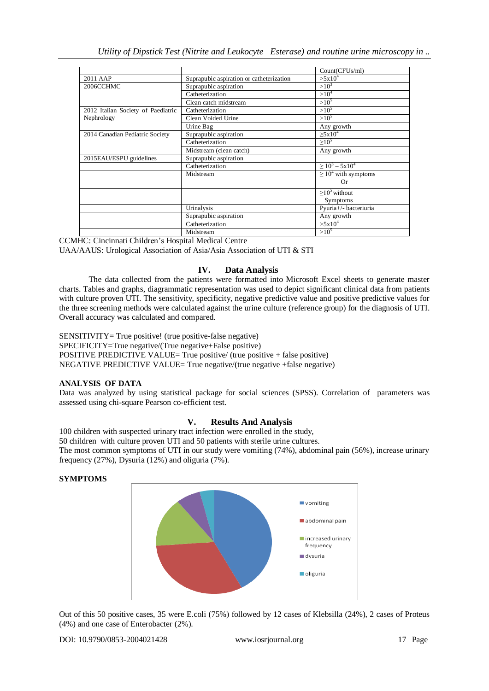|                                    |                                          | Count(CFUs/ml)            |
|------------------------------------|------------------------------------------|---------------------------|
| 2011 AAP                           | Suprapubic aspiration or catheterization | $>5x10^4$                 |
| 2006CCHMC                          | Suprapubic aspiration                    | $>10^3$                   |
|                                    | Catheterization                          | $>10^{4}$                 |
|                                    | Clean catch midstream                    | $>10^{5}$                 |
| 2012 Italian Society of Paediatric | Catheterization                          | $>10^{5}$                 |
| Nephrology                         | Clean Voided Urine                       | $>10^{5}$                 |
|                                    | Urine Bag                                | Any growth                |
| 2014 Canadian Pediatric Society    | Suprapubic aspiration                    | $>5x10^4$                 |
|                                    | Catheterization                          | $>10^{5}$                 |
|                                    | Midstream (clean catch)                  | Any growth                |
| 2015EAU/ESPU guidelines            | Suprapubic aspiration                    |                           |
|                                    | Catheterization                          | $> 10^3 - 5x10^4$         |
|                                    | Midstream                                | $\geq 10^4$ with symptoms |
|                                    |                                          | Or                        |
|                                    |                                          | $>10^5$ without           |
|                                    |                                          | Symptoms                  |
|                                    | Urinalysis                               | Pyuria+/- bacteriuria     |
|                                    | Suprapubic aspiration                    | Any growth                |
|                                    | Catheterization                          | $>5x10^4$                 |
|                                    | Midstream                                | $>10^{5}$                 |

CCMHC: Cincinnati Children's Hospital Medical Centre

UAA/AAUS: Urological Association of Asia/Asia Association of UTI & STI

## **IV. Data Analysis**

The data collected from the patients were formatted into Microsoft Excel sheets to generate master charts. Tables and graphs, diagrammatic representation was used to depict significant clinical data from patients with culture proven UTI. The sensitivity, specificity, negative predictive value and positive predictive values for the three screening methods were calculated against the urine culture (reference group) for the diagnosis of UTI. Overall accuracy was calculated and compared.

SENSITIVITY= True positive! (true positive-false negative)

SPECIFICITY=True negative/(True negative+False positive)

POSITIVE PREDICTIVE VALUE= True positive/ (true positive + false positive)

NEGATIVE PREDICTIVE VALUE= True negative/(true negative +false negative)

## **ANALYSIS OF DATA**

Data was analyzed by using statistical package for social sciences (SPSS). Correlation of parameters was assessed using chi-square Pearson co-efficient test.

## **V. Results And Analysis**

100 children with suspected urinary tract infection were enrolled in the study,

50 children with culture proven UTI and 50 patients with sterile urine cultures.

The most common symptoms of UTI in our study were vomiting (74%), abdominal pain (56%), increase urinary frequency (27%), Dysuria (12%) and oliguria (7%).

## **SYMPTOMS**



Out of this 50 positive cases, 35 were E.coli (75%) followed by 12 cases of Klebsilla (24%), 2 cases of Proteus (4%) and one case of Enterobacter (2%).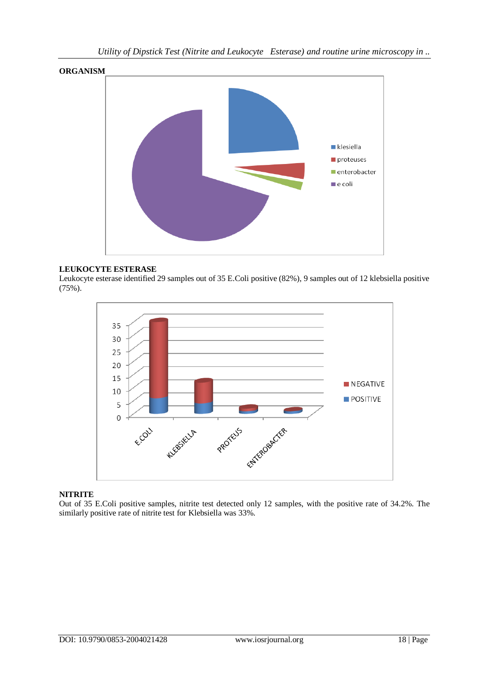

## **LEUKOCYTE ESTERASE**

Leukocyte esterase identified 29 samples out of 35 E.Coli positive (82%), 9 samples out of 12 klebsiella positive (75%).



## **NITRITE**

Out of 35 E.Coli positive samples, nitrite test detected only 12 samples, with the positive rate of 34.2%. The similarly positive rate of nitrite test for Klebsiella was 33%.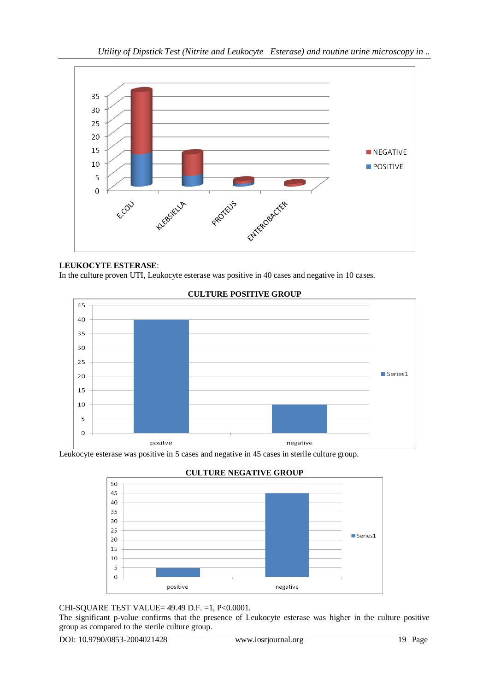

## **LEUKOCYTE ESTERASE**:

In the culture proven UTI, Leukocyte esterase was positive in 40 cases and negative in 10 cases.



## **CULTURE POSITIVE GROUP**

Leukocyte esterase was positive in 5 cases and negative in 45 cases in sterile culture group.

![](_page_5_Figure_7.jpeg)

## CHI-SQUARE TEST VALUE= 49.49 D.F. =1, P<0.0001.

The significant p-value confirms that the presence of Leukocyte esterase was higher in the culture positive group as compared to the sterile culture group.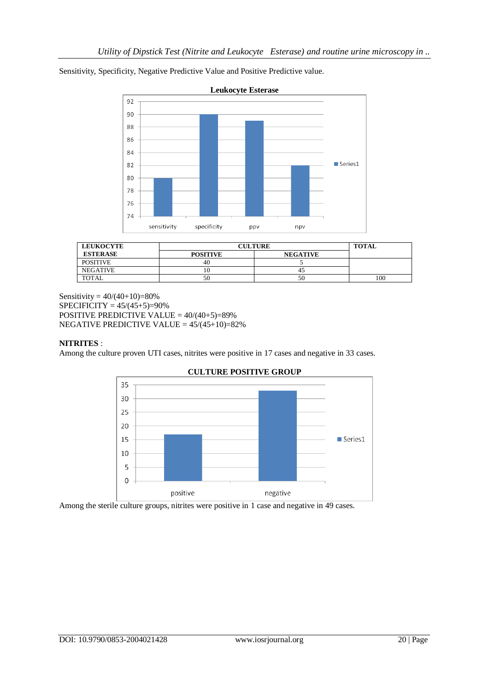![](_page_6_Figure_1.jpeg)

Sensitivity, Specificity, Negative Predictive Value and Positive Predictive value.

| <b>LEUKOCYTE</b> | <b>CULTURE</b>  | <b>TOTAL</b>    |     |
|------------------|-----------------|-----------------|-----|
| <b>ESTERASE</b>  | <b>POSITIVE</b> | <b>NEGATIVE</b> |     |
| <b>POSITIVE</b>  | 40              |                 |     |
| <b>NEGATIVE</b>  |                 | 42              |     |
| <b>TOTAL</b>     | 50              | 50              | 100 |

Sensitivity =  $40/(40+10) = 80\%$  $SPECTFICITY = 45/(45+5)=90%$ POSITIVE PREDICTIVE VALUE = 40/(40+5)=89% NEGATIVE PREDICTIVE VALUE = 45/(45+10)=82%

## **NITRITES** :

Among the culture proven UTI cases, nitrites were positive in 17 cases and negative in 33 cases.

![](_page_6_Figure_7.jpeg)

Among the sterile culture groups, nitrites were positive in 1 case and negative in 49 cases.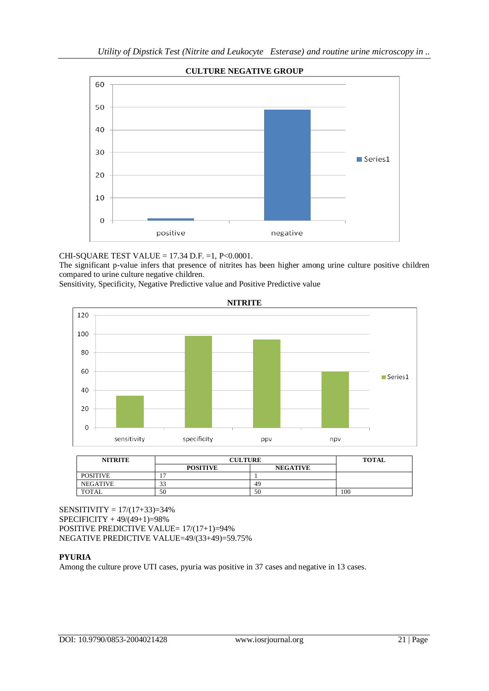![](_page_7_Figure_1.jpeg)

**CULTURE NEGATIVE GROUP**

CHI-SQUARE TEST VALUE = 17.34 D.F. =1, P<0.0001.

The significant p-value infers that presence of nitrites has been higher among urine culture positive children compared to urine culture negative children.

Sensitivity, Specificity, Negative Predictive value and Positive Predictive value

![](_page_7_Figure_6.jpeg)

| <b>NITRITE</b>  | <b>CULTURE</b>  | <b>TOTAL</b>    |     |
|-----------------|-----------------|-----------------|-----|
|                 | <b>POSITIVE</b> | <b>NEGATIVE</b> |     |
| <b>POSITIVE</b> |                 |                 |     |
| <b>NEGATIVE</b> | $\sim$          | 49              |     |
| <b>TOTAL</b>    | 50              | 50              | 100 |

 $SENSITIVITY = 17/(17+33)=34%$ SPECIFICITY + 49/(49+1)=98% POSITIVE PREDICTIVE VALUE= 17/(17+1)=94% NEGATIVE PREDICTIVE VALUE=49/(33+49)=59.75%

## **PYURIA**

Among the culture prove UTI cases, pyuria was positive in 37 cases and negative in 13 cases.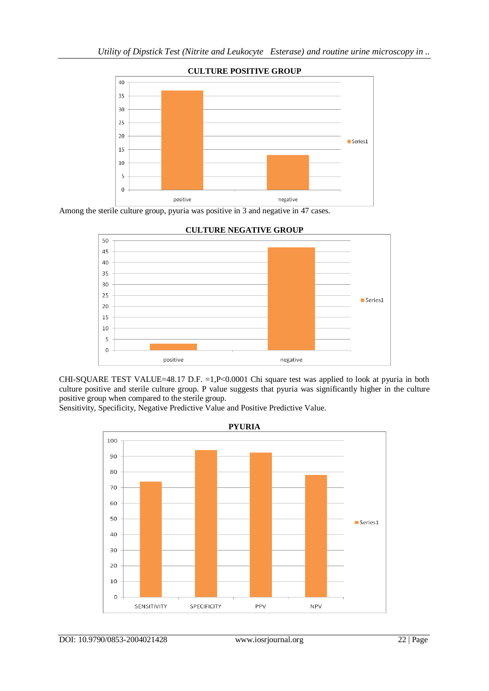![](_page_8_Figure_1.jpeg)

**CULTURE POSITIVE GROUP**

Among the sterile culture group, pyuria was positive in 3 and negative in 47 cases.

![](_page_8_Figure_4.jpeg)

CHI-SQUARE TEST VALUE=48.17 D.F. =1,P<0.0001 Chi square test was applied to look at pyuria in both culture positive and sterile culture group. P value suggests that pyuria was significantly higher in the culture positive group when compared to the sterile group.

Sensitivity, Specificity, Negative Predictive Value and Positive Predictive Value.

![](_page_8_Figure_7.jpeg)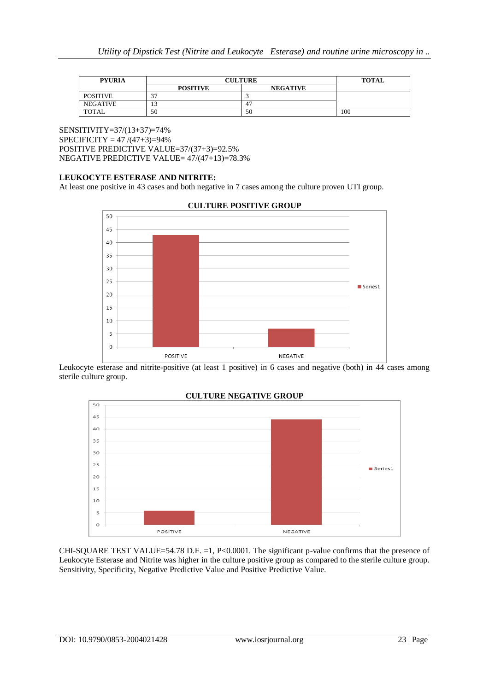| <b>PYURIA</b>   | <b>CULTURE</b>  | <b>TOTAL</b>    |     |
|-----------------|-----------------|-----------------|-----|
|                 | <b>POSITIVE</b> | <b>NEGATIVE</b> |     |
| <b>POSITIVE</b> |                 |                 |     |
| <b>NEGATIVE</b> |                 | 47              |     |
| <b>TOTAL</b>    | 50              | 50              | 100 |

SENSITIVITY=37/(13+37)=74%  $SPECTFICITY = 47/(47+3)=94%$ POSITIVE PREDICTIVE VALUE=37/(37+3)=92.5% NEGATIVE PREDICTIVE VALUE= 47/(47+13)=78.3%

#### **LEUKOCYTE ESTERASE AND NITRITE:**

At least one positive in 43 cases and both negative in 7 cases among the culture proven UTI group.

![](_page_9_Figure_5.jpeg)

### **CULTURE POSITIVE GROUP**

Leukocyte esterase and nitrite-positive (at least 1 positive) in 6 cases and negative (both) in 44 cases among sterile culture group.

![](_page_9_Figure_8.jpeg)

CHI-SQUARE TEST VALUE=54.78 D.F. =1, P<0.0001. The significant p-value confirms that the presence of Leukocyte Esterase and Nitrite was higher in the culture positive group as compared to the sterile culture group. Sensitivity, Specificity, Negative Predictive Value and Positive Predictive Value.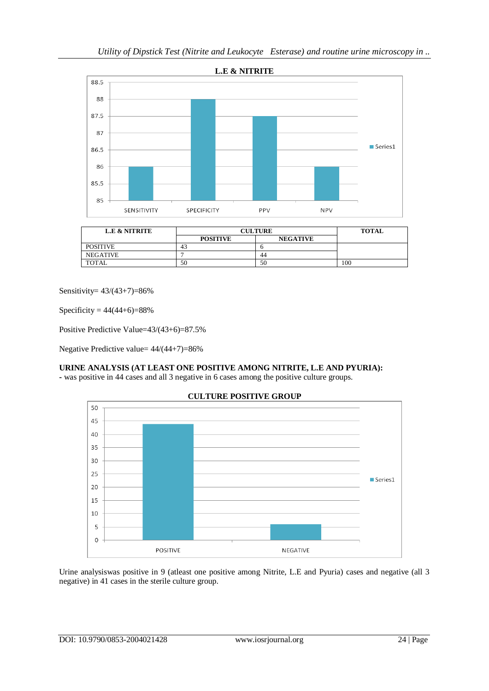![](_page_10_Figure_1.jpeg)

| <b>L.E &amp; NITRITE</b> | <b>CULTURE</b>  | <b>TOTAL</b>    |     |
|--------------------------|-----------------|-----------------|-----|
|                          | <b>POSITIVE</b> | <b>NEGATIVE</b> |     |
| <b>POSITIVE</b>          | 43              |                 |     |
| NEGATIVE                 |                 | 44              |     |
| <b>TOTAL</b>             | 50              | 50              | 100 |

Sensitivity= 43/(43+7)=86%

Specificity =  $44(44+6) = 88%$ 

Positive Predictive Value=43/(43+6)=87.5%

Negative Predictive value= 44/(44+7)=86%

### **URINE ANALYSIS (AT LEAST ONE POSITIVE AMONG NITRITE, L.E AND PYURIA): -** was positive in 44 cases and all 3 negative in 6 cases among the positive culture groups.

![](_page_10_Figure_8.jpeg)

### Urine analysiswas positive in 9 (atleast one positive among Nitrite, L.E and Pyuria) cases and negative (all 3 negative) in 41 cases in the sterile culture group.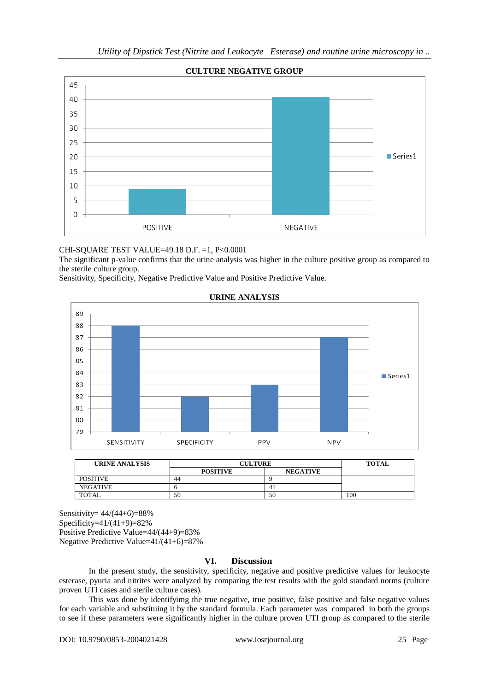![](_page_11_Figure_1.jpeg)

### **CULTURE NEGATIVE GROUP**

### CHI-SQUARE TEST VALUE=49.18 D.F. =1, P<0.0001

The significant p-value confirms that the urine analysis was higher in the culture positive group as compared to the sterile culture group.

Sensitivity, Specificity, Negative Predictive Value and Positive Predictive Value.

![](_page_11_Figure_6.jpeg)

#### **URINE ANALYSIS**

| URINE ANALYSIS  | <b>CULTURE</b>  |                 | <b>TOTAL</b> |
|-----------------|-----------------|-----------------|--------------|
|                 | <b>POSITIVE</b> | <b>NEGATIVE</b> |              |
| <b>POSITIVE</b> | 44              |                 |              |
| <b>NEGATIVE</b> |                 | 41              |              |
| <b>TOTAL</b>    | 50              | 50              | 100          |

Sensitivity=  $44/(44+6) = 88\%$ Specificity= $41/(41+9) = 82\%$ 

Positive Predictive Value=44/(44+9)=83% Negative Predictive Value=41/(41+6)=87%

#### **VI. Discussion**

In the present study, the sensitivity, specificity, negative and positive predictive values for leukocyte esterase, pyuria and nitrites were analyzed by comparing the test results with the gold standard norms (culture proven UTI cases and sterile culture cases).

This was done by identifyimg the true negative, true positive, false positive and false negative values for each variable and substituing it by the standard formula. Each parameter was compared in both the groups to see if these parameters were significantly higher in the culture proven UTI group as compared to the sterile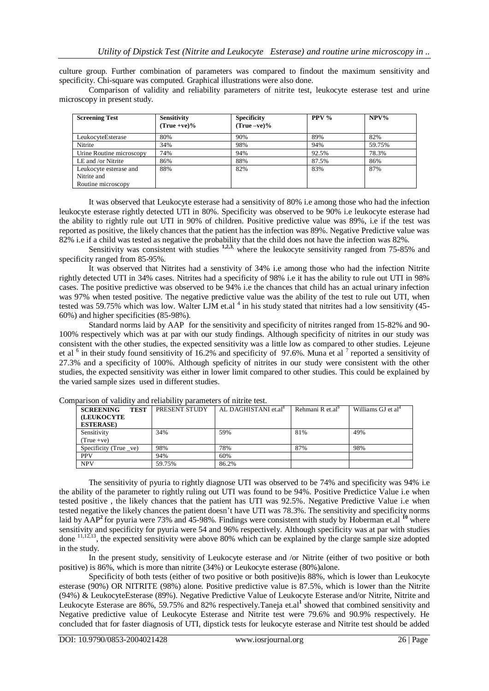culture group. Further combination of parameters was compared to findout the maximum sensitivity and specificity. Chi-square was computed. Graphical illustrations were also done.

Comparison of validity and reliability parameters of nitrite test, leukocyte esterase test and urine microscopy in present study.

| <b>Screening Test</b>                                       | <b>Sensitivity</b><br>$(True + ve)\%$ | <b>Specificity</b><br>$(True - ve)\%$ | PPV $%$ | $NPV\%$ |
|-------------------------------------------------------------|---------------------------------------|---------------------------------------|---------|---------|
| LeukocyteEsterase                                           | 80%                                   | 90%                                   | 89%     | 82%     |
| Nitrite                                                     | 34%                                   | 98%                                   | 94%     | 59.75%  |
| Urine Routine microscopy                                    | 74%                                   | 94%                                   | 92.5%   | 78.3%   |
| LE and /or Nitrite                                          | 86%                                   | 88%                                   | 87.5%   | 86%     |
| Leukocyte esterase and<br>Nitrite and<br>Routine microscopy | 88%                                   | 82%                                   | 83%     | 87%     |

It was observed that Leukocyte esterase had a sensitivity of 80% i.e among those who had the infection leukocyte esterase rightly detected UTI in 80%. Specificity was observed to be 90% i.e leukocyte esterase had the ability to rightly rule out UTI in 90% of children. Positive predictive value was 89%, i.e if the test was reported as positive, the likely chances that the patient has the infection was 89%. Negative Predictive value was 82% i.e if a child was tested as negative the probability that the child does not have the infection was 82%.

Sensitivity was consistent with studies **1,2,3**, where the leukocyte sensitivity ranged from 75-85% and specificity ranged from 85-95%.

It was observed that Nitrites had a senstivity of 34% i.e among those who had the infection Nitrite rightly detected UTI in 34% cases. Nitrites had a specificity of 98% i.e it has the ability to rule out UTI in 98% cases. The positive predictive was observed to be 94% i.e the chances that child has an actual urinary infection was 97% when tested positive. The negative predictive value was the ability of the test to rule out UTI, when tested was 59.75% which was low. Walter LJM et.al  $^4$  in his study stated that nitrites had a low sensitivity (45-60%) and higher specificities (85-98%).

Standard norms laid by AAP for the sensitivity and specificity of nitrites ranged from 15-82% and 90- 100% respectively which was at par with our study findings. Although specificity of nitrites in our study was consistent with the other studies, the expected sensitivity was a little low as compared to other studies. Lejeune et al  $^6$  in their study found sensitivity of 16.2% and specificity of 97.6%. Muna et al  $^7$  reported a sensitivity of 27.3% and a specificity of 100%. Although speficity of nitrites in our study were consistent with the other studies, the expected sensitivity was either in lower limit compared to other studies. This could be explained by the varied sample sizes used in different studies.

| <b>TEST</b><br><b>SCREENING</b> | PRESENT STUDY | AL DAGHISTANI et.al <sup>8</sup> | Rehmani R et.al <sup>9</sup> | Williams GJ et al <sup>4</sup> |
|---------------------------------|---------------|----------------------------------|------------------------------|--------------------------------|
| <b>(LEUKOCYTE)</b>              |               |                                  |                              |                                |
| <b>ESTERASE</b> )               |               |                                  |                              |                                |
| Sensitivity                     | 34%           | 59%                              | 81%                          | 49%                            |
| $(True + ve)$                   |               |                                  |                              |                                |
| Specificity (True ve)           | 98%           | 78%                              | 87%                          | 98%                            |
| <b>PPV</b>                      | 94%           | 60%                              |                              |                                |
| <b>NPV</b>                      | 59.75%        | 86.2%                            |                              |                                |

Comparison of validity and reliability parameters of nitrite test.

The sensitivity of pyuria to rightly diagnose UTI was observed to be 74% and specificity was 94% i.e the ability of the parameter to rightly ruling out UTI was found to be 94%. Positive Predictice Value i.e when tested positive , the likely chances that the patient has UTI was 92.5%. Negative Predictive Value i.e when tested negative the likely chances the patient doesn't have UTI was 78.3%. The sensitivity and specificity norms laid by AAP<sup>2</sup> for pyuria were 73% and 45-98%. Findings were consistent with study by Hoberman et.al <sup>10</sup> where sensitivity and specificity for pyuria were 54 and 96% respectively. Although specificity was at par with studies done  $\frac{11,12,13}{1}$ , the expected sensitivity were above 80% which can be explained by the clarge sample size adopted in the study.

In the present study, sensitivity of Leukocyte esterase and /or Nitrite (either of two positive or both positive) is 86%, which is more than nitrite (34%) or Leukocyte esterase (80%)alone.

Specificity of both tests (either of two positive or both positive)is 88%, which is lower than Leukocyte esterase (90%) OR NITRITE (98%) alone. Positive predictive value is 87.5%, which is lower than the Nitrite (94%) & LeukocyteEsterase (89%). Negative Predictive Value of Leukocyte Esterase and/or Nitrite, Nitrite and Leukocyte Esterase are 86%, 59.75% and 82% respectively.Taneja et.al**<sup>1</sup>** showed that combined sensitivity and Negative predictive value of Leukocyte Esterase and Nitrite test were 79.6% and 90.9% respectively. He concluded that for faster diagnosis of UTI, dipstick tests for leukocyte esterase and Nitrite test should be added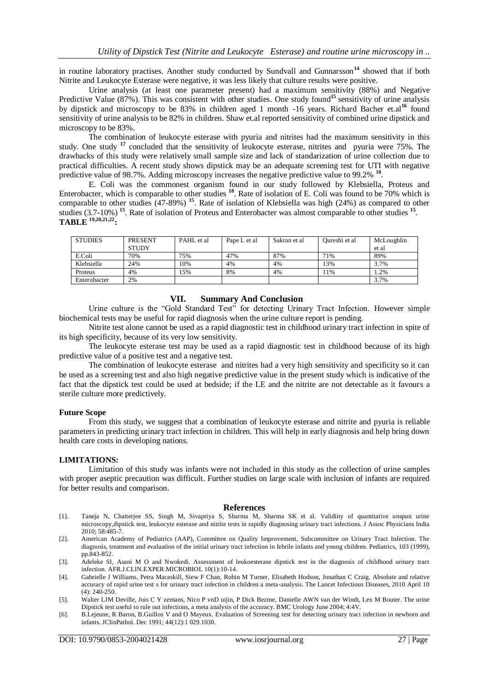in routine laboratory practises. Another study conducted by Sundvall and Gunnarsson**<sup>14</sup>** showed that if both Nitrite and Leukocyte Esterase were negative, it was less likely that culture results were positive.

Urine analysis (at least one parameter present) had a maximum sensitivity (88%) and Negative Predictive Value (87%). This was consistent with other studies. One study found<sup>15</sup> sensitivity of urine analysis by dipstick and microscopy to be 83% in children aged 1 month -16 years. Richard Bacher et.al**<sup>16</sup>** found sensitivity of urine analysis to be 82% in children. Shaw et.al reported sensitivity of combined urine dipstick and microscopy to be 83%.

The combination of leukocyte esterase with pyuria and nitrites had the maximum sensitivity in this study. One study **<sup>17</sup>** concluded that the sensitivity of leukocyte esterase, nitrites and pyuria were 75%. The drawbacks of this study were relatively small sample size and lack of standarization of urine collection due to practical difficulties. A recent study shows dipstick may be an adequate screening test for UTI with negative predictive value of 98.7%. Adding microscopy increases the negative predictive value to 99.2% <sup>18</sup>.

E. Coli was the commonest organism found in our study followed by Klebsiella, Proteus and E. Coli was the commonest organism found in our study for state of solation of E. Coli was found to be 70% which is<br>Enterobacter, which is comparable to other studies <sup>18</sup>. Rate of isolation of E. Coli was found to be 70% comparable to other studies (47-89%) <sup>15</sup>. Rate of isolation of Klebsiella was high (24%) as compared to other studies (3.7-10%)<sup>15</sup>. Rate of isolation of Proteus and Enterobacter was almost comparable to other studies<sup>15</sup>. **TABLE 19,20,21,22:**

| <b>STUDIES</b> | <b>PRESENT</b> | PAHL et al | Pape L et al | Sakran et al | Oureshi et al | McLoughlin |
|----------------|----------------|------------|--------------|--------------|---------------|------------|
|                | <b>STUDY</b>   |            |              |              |               | et al      |
| E.Coli         | 70%            | 75%        | 47%          | 87%          | 71%           | 89%        |
| Klebsiella     | 24%            | 10%        | 4%           | 4%           | 13%           | 3.7%       |
| Proteus        | 4%             | .5%        | 8%           | 4%           | 1%            | . 2%       |
| Enterobacter   | 2%             |            |              |              |               | 3.7%       |

#### **VII. Summary And Conclusion**

Urine culture is the "Gold Standard Test" for detecting Urinary Tract Infection. However simple biochemical tests may be useful for rapid diagnosis when the urine culture report is pending.

Nitrite test alone cannot be used as a rapid diagnostic test in childhood urinary tract infection in spite of its high specificity, because of its very low sensitivity.

The leukocyte esterase test may be used as a rapid diagnostic test in childhood because of its high predictive value of a positive test and a negative test.

The combination of leukocyte esterase and nitrites had a very high sensitivity and specificity so it can be used as a screening test and also high negative predictive value in the present study which is indicative of the fact that the dipstick test could be used at bedside; if the LE and the nitrite are not detectable as it favours a sterile culture more predictively.

#### **Future Scope**

From this study, we suggest that a combination of leukocyte esterase and nitrite and pyuria is reliable parameters in predicting urinary tract infection in children. This will help in early diagnosis and help bring down health care costs in developing nations.

#### **LIMITATIONS:**

Limitation of this study was infants were not included in this study as the collection of urine samples with proper aseptic precaution was difficult. Further studies on large scale with inclusion of infants are required for better results and comparison.

#### **References**

- [1]. Taneja N, Chatterjee SS, Singh M, Sivapriya S, Sharma M, Sharma SK et al. Validiity of quantitative unspun urine microscopy,dipstick test, leukocyte esterase and nitrite tests in rapidly diagnosing urinary tract infections. J Assoc Physicians India 2010; 58:485-7.
- [2]. American Academy of Pediatrics (AAP), Committee on Quality Improvement, Subcommittee on Urinary Tract Infection. The diagnosis, treatment and evaluation of the initial urinary tract infection in febrile infants and young children. Pediatrics, 103 (1999), pp.843-852.
- [3]. Adeleke SI, Asani M O and Nwokedi. Assessment of leukoesterase dipstick test in the diagnosis of childhood urinary tract infection. AFR.J.CLIN.EXPER.MICROBIOL 10(1):10-14.
- [4]. Gabrielle J Williams, Petra Macaskill, Siew F Chan, Robin M Turner, Elisabeth Hodson, Jonathan C Craig. Absolute and relative accuracy of rapid urine test s for urinary tract infection in children a meta-analysis. The Lancet Infectious Diseases, 2010 April 10  $(4)$ : 240-250.
- [5]. Walter LJM Deville, Jois C Y zemans, Nico P vnD uijin, P Dick Bezme, Danielle AWN van der Windt, Lex M Bouter. The urine Dipstick test useful to rule out infections, a meta analysis of the accuracy. BMC Urology June 2004; 4:4V.
- [6]. B.Lejeune, R Baron, B.Guillos V and O Mayeux. Evaluation of Screening test for detecting urinary tract infection in newborn and infants. JClinPathol. Dec 1991; 44(12):1 029.1030.